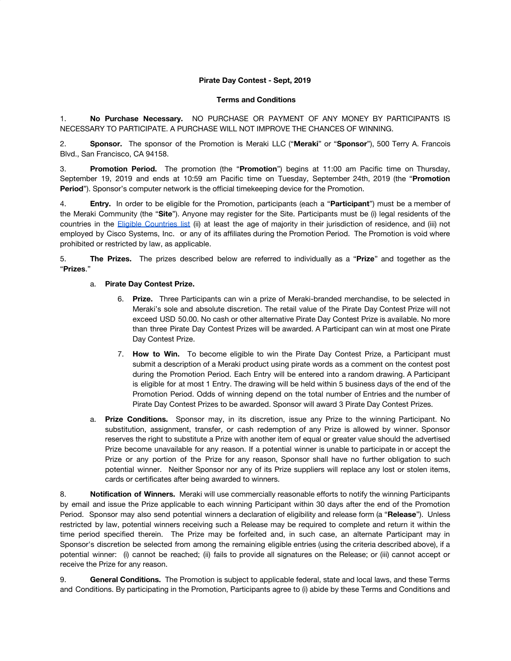## **Pirate Day Contest - Sept, 2019**

## **Terms and Conditions**

1. **No Purchase Necessary.** NO PURCHASE OR PAYMENT OF ANY MONEY BY PARTICIPANTS IS NECESSARY TO PARTICIPATE. A PURCHASE WILL NOT IMPROVE THE CHANCES OF WINNING.

2. **Sponsor.** The sponsor of the Promotion is Meraki LLC ("**Meraki**" or "**Sponsor**"), 500 Terry A. Francois Blvd., San Francisco, CA 94158.

3. **Promotion Period.** The promotion (the "**Promotion**") begins at 11:00 am Pacific time on Thursday, September 19, 2019 and ends at 10:59 am Pacific time on Tuesday, September 24th, 2019 (the "**Promotion Period**"). Sponsor's computer network is the official timekeeping device for the Promotion.

4. **Entry.** In order to be eligible for the Promotion, participants (each a "**Participant**") must be a member of the Meraki Community (the "**Site**"). Anyone may register for the Site. Participants must be (i) legal residents of the countries in the Eligible [Countries](https://community.meraki.com/t5/Terms-Conditions/Eligible-Countries-List/ba-p/5069/jump-to/first-unread-message) list (ii) at least the age of majority in their jurisdiction of residence, and (iii) not employed by Cisco Systems, Inc. or any of its affiliates during the Promotion Period. The Promotion is void where prohibited or restricted by law, as applicable.

5. **The Prizes.** The prizes described below are referred to individually as a "**Prize**" and together as the "**Prizes**."

## a. **Pirate Day Contest Prize.**

- 6. **Prize.** Three Participants can win a prize of Meraki-branded merchandise, to be selected in Meraki's sole and absolute discretion. The retail value of the Pirate Day Contest Prize will not exceed USD 50.00. No cash or other alternative Pirate Day Contest Prize is available. No more than three Pirate Day Contest Prizes will be awarded. A Participant can win at most one Pirate Day Contest Prize.
- 7. **How to Win.** To become eligible to win the Pirate Day Contest Prize, a Participant must submit a description of a Meraki product using pirate words as a comment on the contest post during the Promotion Period. Each Entry will be entered into a random drawing. A Participant is eligible for at most 1 Entry. The drawing will be held within 5 business days of the end of the Promotion Period. Odds of winning depend on the total number of Entries and the number of Pirate Day Contest Prizes to be awarded. Sponsor will award 3 Pirate Day Contest Prizes.
- a. **Prize Conditions.** Sponsor may, in its discretion, issue any Prize to the winning Participant. No substitution, assignment, transfer, or cash redemption of any Prize is allowed by winner. Sponsor reserves the right to substitute a Prize with another item of equal or greater value should the advertised Prize become unavailable for any reason. If a potential winner is unable to participate in or accept the Prize or any portion of the Prize for any reason, Sponsor shall have no further obligation to such potential winner. Neither Sponsor nor any of its Prize suppliers will replace any lost or stolen items, cards or certificates after being awarded to winners.

8. **Notification of Winners.** Meraki will use commercially reasonable efforts to notify the winning Participants by email and issue the Prize applicable to each winning Participant within 30 days after the end of the Promotion Period. Sponsor may also send potential winners a declaration of eligibility and release form (a "**Release**"). Unless restricted by law, potential winners receiving such a Release may be required to complete and return it within the time period specified therein. The Prize may be forfeited and, in such case, an alternate Participant may in Sponsor's discretion be selected from among the remaining eligible entries (using the criteria described above), if a potential winner: (i) cannot be reached; (ii) fails to provide all signatures on the Release; or (iii) cannot accept or receive the Prize for any reason.

9. **General Conditions.** The Promotion is subject to applicable federal, state and local laws, and these Terms and Conditions. By participating in the Promotion, Participants agree to (i) abide by these Terms and Conditions and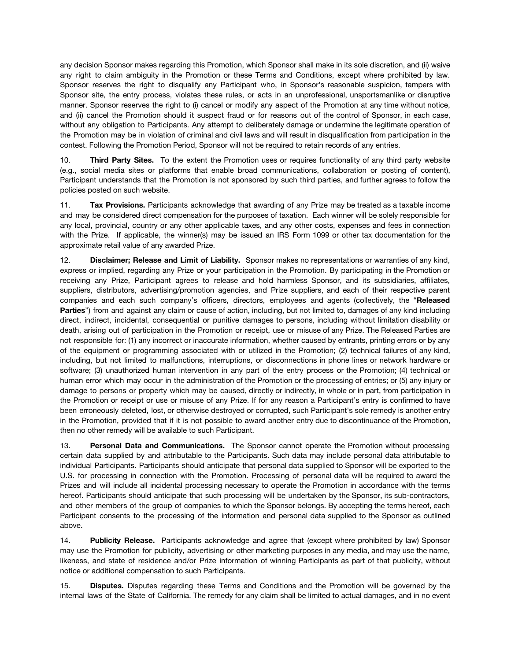any decision Sponsor makes regarding this Promotion, which Sponsor shall make in its sole discretion, and (ii) waive any right to claim ambiguity in the Promotion or these Terms and Conditions, except where prohibited by law. Sponsor reserves the right to disqualify any Participant who, in Sponsor's reasonable suspicion, tampers with Sponsor site, the entry process, violates these rules, or acts in an unprofessional, unsportsmanlike or disruptive manner. Sponsor reserves the right to (i) cancel or modify any aspect of the Promotion at any time without notice, and (ii) cancel the Promotion should it suspect fraud or for reasons out of the control of Sponsor, in each case, without any obligation to Participants. Any attempt to deliberately damage or undermine the legitimate operation of the Promotion may be in violation of criminal and civil laws and will result in disqualification from participation in the contest. Following the Promotion Period, Sponsor will not be required to retain records of any entries.

10. **Third Party Sites.** To the extent the Promotion uses or requires functionality of any third party website (e.g., social media sites or platforms that enable broad communications, collaboration or posting of content), Participant understands that the Promotion is not sponsored by such third parties, and further agrees to follow the policies posted on such website.

11. **Tax Provisions.** Participants acknowledge that awarding of any Prize may be treated as a taxable income and may be considered direct compensation for the purposes of taxation. Each winner will be solely responsible for any local, provincial, country or any other applicable taxes, and any other costs, expenses and fees in connection with the Prize. If applicable, the winner(s) may be issued an IRS Form 1099 or other tax documentation for the approximate retail value of any awarded Prize.

12. **Disclaimer; Release and Limit of Liability.** Sponsor makes no representations or warranties of any kind, express or implied, regarding any Prize or your participation in the Promotion. By participating in the Promotion or receiving any Prize, Participant agrees to release and hold harmless Sponsor, and its subsidiaries, affiliates, suppliers, distributors, advertising/promotion agencies, and Prize suppliers, and each of their respective parent companies and each such company's officers, directors, employees and agents (collectively, the "**Released Parties**") from and against any claim or cause of action, including, but not limited to, damages of any kind including direct, indirect, incidental, consequential or punitive damages to persons, including without limitation disability or death, arising out of participation in the Promotion or receipt, use or misuse of any Prize. The Released Parties are not responsible for: (1) any incorrect or inaccurate information, whether caused by entrants, printing errors or by any of the equipment or programming associated with or utilized in the Promotion; (2) technical failures of any kind, including, but not limited to malfunctions, interruptions, or disconnections in phone lines or network hardware or software; (3) unauthorized human intervention in any part of the entry process or the Promotion; (4) technical or human error which may occur in the administration of the Promotion or the processing of entries; or (5) any injury or damage to persons or property which may be caused, directly or indirectly, in whole or in part, from participation in the Promotion or receipt or use or misuse of any Prize. If for any reason a Participant's entry is confirmed to have been erroneously deleted, lost, or otherwise destroyed or corrupted, such Participant's sole remedy is another entry in the Promotion, provided that if it is not possible to award another entry due to discontinuance of the Promotion, then no other remedy will be available to such Participant.

13. **Personal Data and Communications.** The Sponsor cannot operate the Promotion without processing certain data supplied by and attributable to the Participants. Such data may include personal data attributable to individual Participants. Participants should anticipate that personal data supplied to Sponsor will be exported to the U.S. for processing in connection with the Promotion. Processing of personal data will be required to award the Prizes and will include all incidental processing necessary to operate the Promotion in accordance with the terms hereof. Participants should anticipate that such processing will be undertaken by the Sponsor, its sub-contractors, and other members of the group of companies to which the Sponsor belongs. By accepting the terms hereof, each Participant consents to the processing of the information and personal data supplied to the Sponsor as outlined above.

14. **Publicity Release.** Participants acknowledge and agree that (except where prohibited by law) Sponsor may use the Promotion for publicity, advertising or other marketing purposes in any media, and may use the name, likeness, and state of residence and/or Prize information of winning Participants as part of that publicity, without notice or additional compensation to such Participants.

15. **Disputes.** Disputes regarding these Terms and Conditions and the Promotion will be governed by the internal laws of the State of California. The remedy for any claim shall be limited to actual damages, and in no event